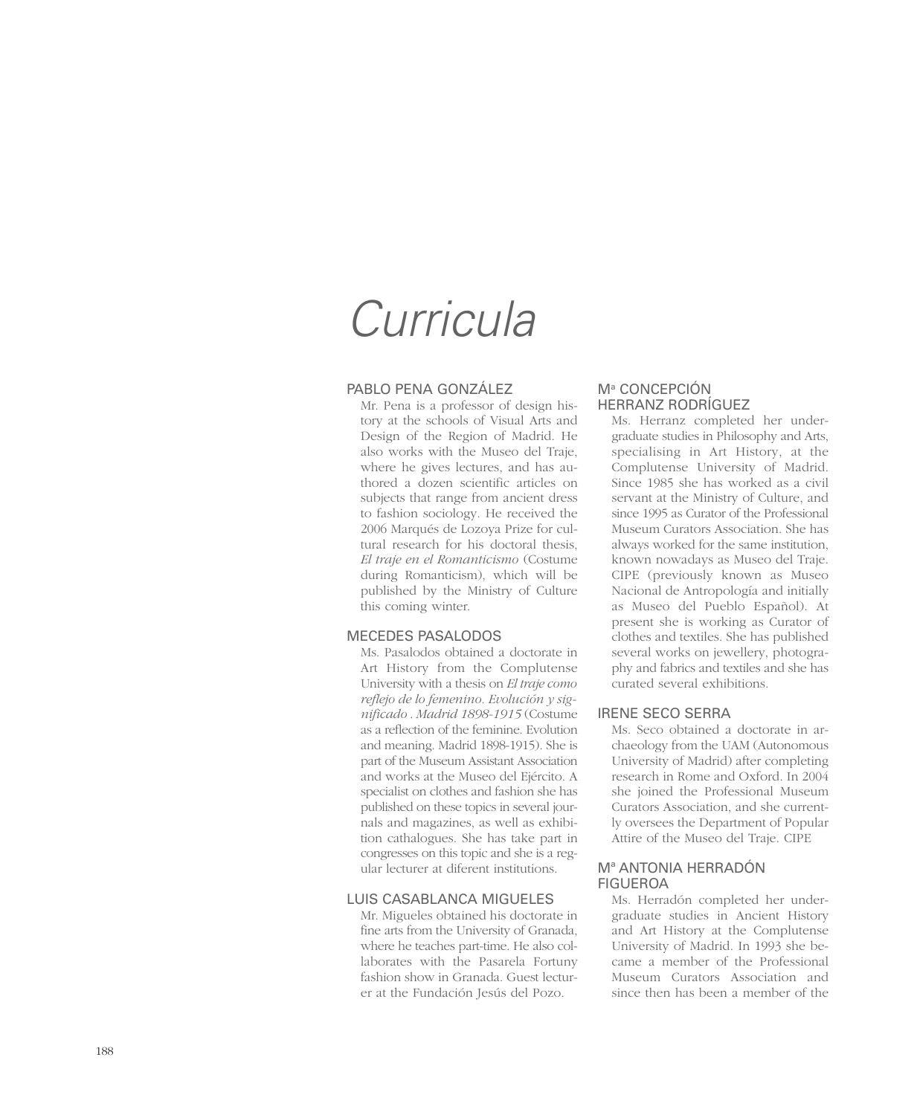## *Curricula*

## PABLO PENA GONZÁLEZ

Mr. Pena is a professor of design history at the schools of Visual Arts and Design of the Region of Madrid. He also works with the Museo del Traje, where he gives lectures, and has authored a dozen scientific articles on subjects that range from ancient dress to fashion sociology. He received the 2006 Marqués de Lozoya Prize for cultural research for his doctoral thesis, *El traje en el Romanticismo* (Costume during Romanticism), which will be published by the Ministry of Culture this coming winter.

## MECEDES PASALODOS

Ms. Pasalodos obtained a doctorate in Art History from the Complutense University with a thesis on *El traje como reflejo de lo femenino. Evolución y significado . Madrid 1898-1915* (Costume as a reflection of the feminine. Evolution and meaning. Madrid 1898-1915). She is part of the Museum Assistant Association and works at the Museo del Ejército. A specialist on clothes and fashion she has published on these topics in several journals and magazines, as well as exhibition cathalogues. She has take part in congresses on this topic and she is a regular lecturer at diferent institutions.

## LUIS CASABLANCA MIGUELES

Mr. Migueles obtained his doctorate in fine arts from the University of Granada, where he teaches part-time. He also collaborates with the Pasarela Fortuny fashion show in Granada. Guest lecturer at the Fundación Jesús del Pozo.

## M<sup>ª</sup> CONCEPCION HERRANZ RODRÍGUEZ

Ms. Herranz completed her undergraduate studies in Philosophy and Arts, specialising in Art History, at the Complutense University of Madrid. Since 1985 she has worked as a civil servant at the Ministry of Culture, and since 1995 as Curator of the Professional Museum Curators Association. She has always worked for the same institution, known nowadays as Museo del Traje. CIPE (previously known as Museo Nacional de Antropología and initially as Museo del Pueblo Español). At present she is working as Curator of clothes and textiles. She has published several works on jewellery, photography and fabrics and textiles and she has curated several exhibitions.

## IRENE SECO SERRA

Ms. Seco obtained a doctorate in archaeology from the UAM (Autonomous University of Madrid) after completing research in Rome and Oxford. In 2004 she joined the Professional Museum Curators Association, and she currently oversees the Department of Popular Attire of the Museo del Traje. CIPE

## Mª ANTONIA HERRADÓN FIGUEROA

Ms. Herradón completed her undergraduate studies in Ancient History and Art History at the Complutense University of Madrid. In 1993 she became a member of the Professional Museum Curators Association and since then has been a member of the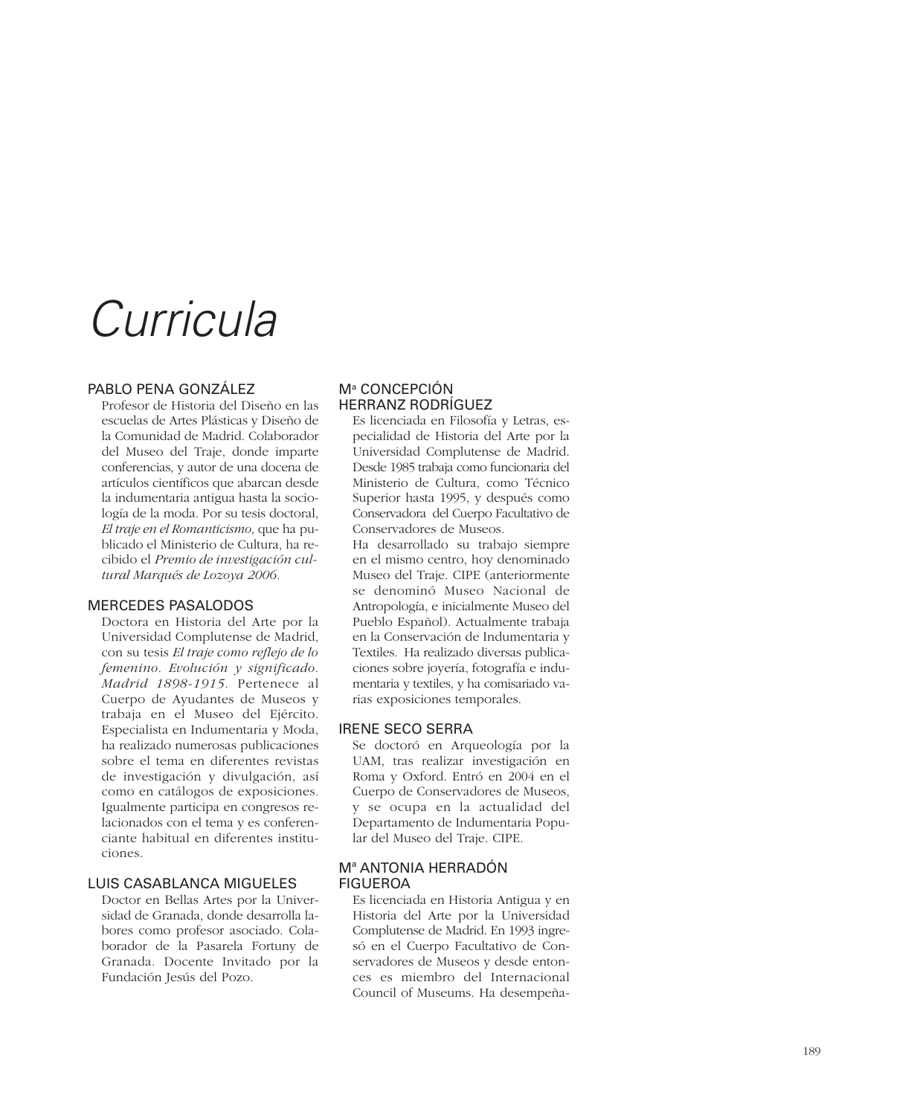# *Curricula*

## PABLO PENA GONZÁLEZ

Profesor de Historia del Diseño en las escuelas de Artes Plásticas y Diseño de la Comunidad de Madrid. Colaborador del Museo del Traje, donde imparte conferencias, y autor de una docena de artículos científicos que abarcan desde la indumentaria antigua hasta la sociología de la moda. Por su tesis doctoral, *El traje en el Romanticismo*, que ha publicado el Ministerio de Cultura, ha recibido el *Premio de investigación cultural Marqués de Lozoya 2006.*

#### MERCEDES PASALODOS

Doctora en Historia del Arte por la Universidad Complutense de Madrid, con su tesis *El traje como reflejo de lo femenino. Evolución y significado. Madrid 1898-1915*. Pertenece al Cuerpo de Ayudantes de Museos y trabaja en el Museo del Ejército. Especialista en Indumentaria y Moda, ha realizado numerosas publicaciones sobre el tema en diferentes revistas de investigación y divulgación, así como en catálogos de exposiciones. Igualmente participa en congresos relacionados con el tema y es conferenciante habitual en diferentes instituciones.

## LUIS CASABLANCA MIGUELES

Doctor en Bellas Artes por la Universidad de Granada, donde desarrolla labores como profesor asociado. Colaborador de la Pasarela Fortuny de Granada. Docente Invitado por la Fundación Jesús del Pozo.

## Mª CONCEPCION HERRANZ RODRÍGUEZ

Es licenciada en Filosofía y Letras, especialidad de Historia del Arte por la Universidad Complutense de Madrid. Desde 1985 trabaja como funcionaria del Ministerio de Cultura, como Técnico Superior hasta 1995, y después como Conservadora del Cuerpo Facultativo de Conservadores de Museos.

Ha desarrollado su trabajo siempre en el mismo centro, hoy denominado Museo del Traje. CIPE (anteriormente se denominó Museo Nacional de Antropología, e inicialmente Museo del Pueblo Español). Actualmente trabaja en la Conservación de Indumentaria y Textiles. Ha realizado diversas publicaciones sobre joyería, fotografía e indumentaria y textiles, y ha comisariado varias exposiciones temporales.

## IRENE SECO SERRA

Se doctoró en Arqueología por la UAM, tras realizar investigación en Roma y Oxford. Entró en 2004 en el Cuerpo de Conservadores de Museos, y se ocupa en la actualidad del Departamento de Indumentaria Popular del Museo del Traje. CIPE.

## Mª ANTONIA HERRADÓN FIGUEROA

Es licenciada en Historia Antigua y en Historia del Arte por la Universidad Complutense de Madrid. En 1993 ingresó en el Cuerpo Facultativo de Conservadores de Museos y desde entonces es miembro del Internacional Council of Museums. Ha desempeña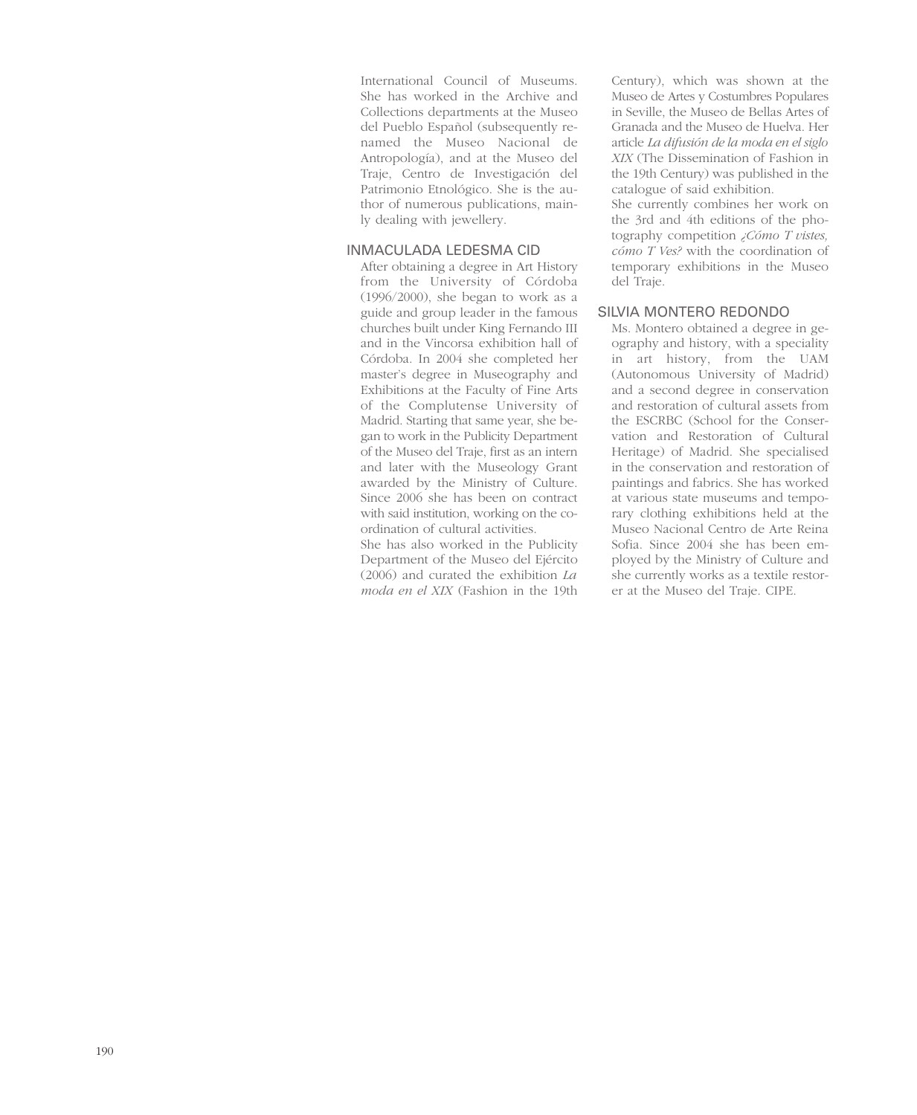International Council of Museums. She has worked in the Archive and Collections departments at the Museo del Pueblo Español (subsequently renamed the Museo Nacional de Antropología), and at the Museo del Traje, Centro de Investigación del Patrimonio Etnológico. She is the author of numerous publications, mainly dealing with jewellery.

## INMACULADA LEDESMA CID

After obtaining a degree in Art History from the University of Córdoba (1996/2000), she began to work as a guide and group leader in the famous churches built under King Fernando III and in the Vincorsa exhibition hall of Córdoba. In 2004 she completed her master's degree in Museography and Exhibitions at the Faculty of Fine Arts of the Complutense University of Madrid. Starting that same year, she began to work in the Publicity Department of the Museo del Traje, first as an intern and later with the Museology Grant awarded by the Ministry of Culture. Since 2006 she has been on contract with said institution, working on the coordination of cultural activities.

She has also worked in the Publicity Department of the Museo del Ejército (2006) and curated the exhibition *La moda en el XIX* (Fashion in the 19th Century), which was shown at the Museo de Artes y Costumbres Populares in Seville, the Museo de Bellas Artes of Granada and the Museo de Huelva. Her article *La difusión de la moda en el siglo XIX* (The Dissemination of Fashion in the 19th Century) was published in the catalogue of said exhibition. She currently combines her work on the 3rd and 4th editions of the photography competition *¿Cómo T vistes, cómo T Ves?* with the coordination of temporary exhibitions in the Museo del Traje.

## SILVIA MONTERO REDONDO

Ms. Montero obtained a degree in geography and history, with a speciality in art history, from the UAM (Autonomous University of Madrid) and a second degree in conservation and restoration of cultural assets from the ESCRBC (School for the Conservation and Restoration of Cultural Heritage) of Madrid. She specialised in the conservation and restoration of paintings and fabrics. She has worked at various state museums and temporary clothing exhibitions held at the Museo Nacional Centro de Arte Reina Sofia. Since 2004 she has been employed by the Ministry of Culture and she currently works as a textile restorer at the Museo del Traje. CIPE.